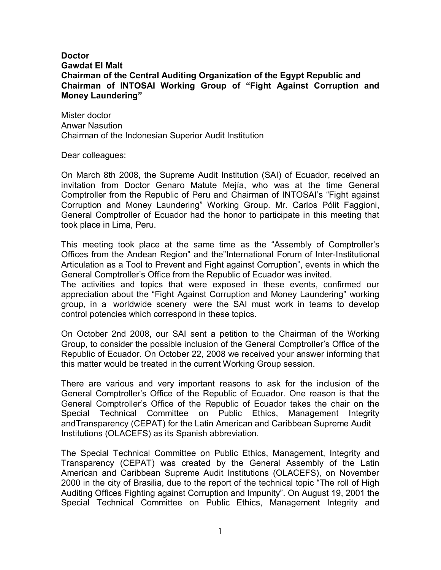## **Doctor Gawdat El Malt Chairman of the Central Auditing Organization of the Egypt Republic and Chairman of INTOSAI Working Group of "Fight Against Corruption and Money Laundering"**

Mister doctor Anwar Nasution Chairman of the Indonesian Superior Audit Institution

Dear colleagues:

On March 8th 2008, the Supreme Audit Institution (SAI) of Ecuador, received an invitation from Doctor Genaro Matute Mejía, who was at the time General Comptroller from the Republic of Peru and Chairman of INTOSAI's "Fight against Corruption and Money Laundering" Working Group. Mr. Carlos Pólit Faggioni, General Comptroller of Ecuador had the honor to participate in this meeting that took place in Lima, Peru.

This meeting took place at the same time as the "Assembly of Comptroller's Offices from the Andean Region" and the"International Forum of Inter-Institutional Articulation as a Tool to Prevent and Fight against Corruption", events in which the General Comptroller's Office from the Republic of Ecuador was invited.

The activities and topics that were exposed in these events, confirmed our appreciation about the "Fight Against Corruption and Money Laundering" working group, in a worldwide scenery were the SAI must work in teams to develop control potencies which correspond in these topics.

On October 2nd 2008, our SAI sent a petition to the Chairman of the Working Group, to consider the possible inclusion of the General Comptroller's Office of the Republic of Ecuador. On October 22, 2008 we received your answer informing that this matter would be treated in the current Working Group session.

There are various and very important reasons to ask for the inclusion of the General Comptroller's Office of the Republic of Ecuador. One reason is that the General Comptroller's Office of the Republic of Ecuador takes the chair on the Special Technical Committee on Public Ethics, Management Integrity andTransparency (CEPAT) for the Latin American and Caribbean Supreme Audit Institutions (OLACEFS) as its Spanish abbreviation.

The Special Technical Committee on Public Ethics, Management, Integrity and Transparency (CEPAT) was created by the General Assembly of the Latin American and Caribbean Supreme Audit Institutions (OLACEFS), on November 2000 in the city of Brasilia, due to the report of the technical topic "The roll of High Auditing Offices Fighting against Corruption and Impunity". On August 19, 2001 the Special Technical Committee on Public Ethics, Management Integrity and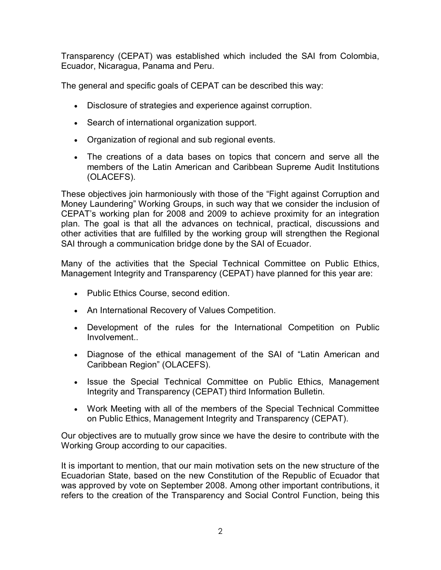Transparency (CEPAT) was established which included the SAI from Colombia, Ecuador, Nicaragua, Panama and Peru.

The general and specific goals of CEPAT can be described this way:

- Disclosure of strategies and experience against corruption.
- Search of international organization support.
- Organization of regional and sub regional events.
- The creations of a data bases on topics that concern and serve all the members of the Latin American and Caribbean Supreme Audit Institutions (OLACEFS).

These objectives join harmoniously with those of the "Fight against Corruption and Money Laundering" Working Groups, in such way that we consider the inclusion of CEPAT's working plan for 2008 and 2009 to achieve proximity for an integration plan. The goal is that all the advances on technical, practical, discussions and other activities that are fulfilled by the working group will strengthen the Regional SAI through a communication bridge done by the SAI of Ecuador.

Many of the activities that the Special Technical Committee on Public Ethics, Management Integrity and Transparency (CEPAT) have planned for this year are:

- Public Ethics Course, second edition.
- An International Recovery of Values Competition.
- Development of the rules for the International Competition on Public Involvement..
- Diagnose of the ethical management of the SAI of "Latin American and Caribbean Region" (OLACEFS).
- Issue the Special Technical Committee on Public Ethics, Management Integrity and Transparency (CEPAT) third Information Bulletin.
- Work Meeting with all of the members of the Special Technical Committee on Public Ethics, Management Integrity and Transparency (CEPAT).

Our objectives are to mutually grow since we have the desire to contribute with the Working Group according to our capacities.

It is important to mention, that our main motivation sets on the new structure of the Ecuadorian State, based on the new Constitution of the Republic of Ecuador that was approved by vote on September 2008. Among other important contributions, it refers to the creation of the Transparency and Social Control Function, being this